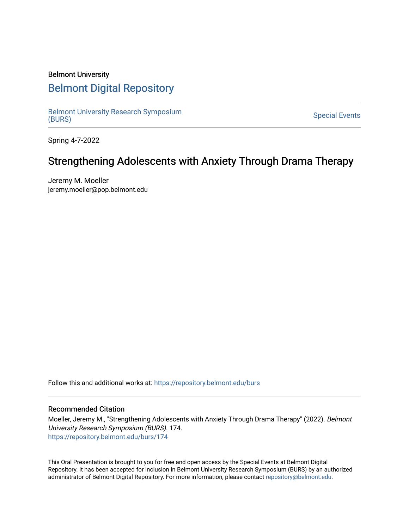#### Belmont University

## [Belmont Digital Repository](https://repository.belmont.edu/)

[Belmont University Research Symposium](https://repository.belmont.edu/burs) [\(BURS\)](https://repository.belmont.edu/burs) [Special Events](https://repository.belmont.edu/specialevents) 

Spring 4-7-2022

## Strengthening Adolescents with Anxiety Through Drama Therapy

Jeremy M. Moeller jeremy.moeller@pop.belmont.edu

Follow this and additional works at: [https://repository.belmont.edu/burs](https://repository.belmont.edu/burs?utm_source=repository.belmont.edu%2Fburs%2F174&utm_medium=PDF&utm_campaign=PDFCoverPages)

#### Recommended Citation

Moeller, Jeremy M., "Strengthening Adolescents with Anxiety Through Drama Therapy" (2022). Belmont University Research Symposium (BURS). 174. [https://repository.belmont.edu/burs/174](https://repository.belmont.edu/burs/174?utm_source=repository.belmont.edu%2Fburs%2F174&utm_medium=PDF&utm_campaign=PDFCoverPages)

This Oral Presentation is brought to you for free and open access by the Special Events at Belmont Digital Repository. It has been accepted for inclusion in Belmont University Research Symposium (BURS) by an authorized administrator of Belmont Digital Repository. For more information, please contact [repository@belmont.edu](mailto:repository@belmont.edu).